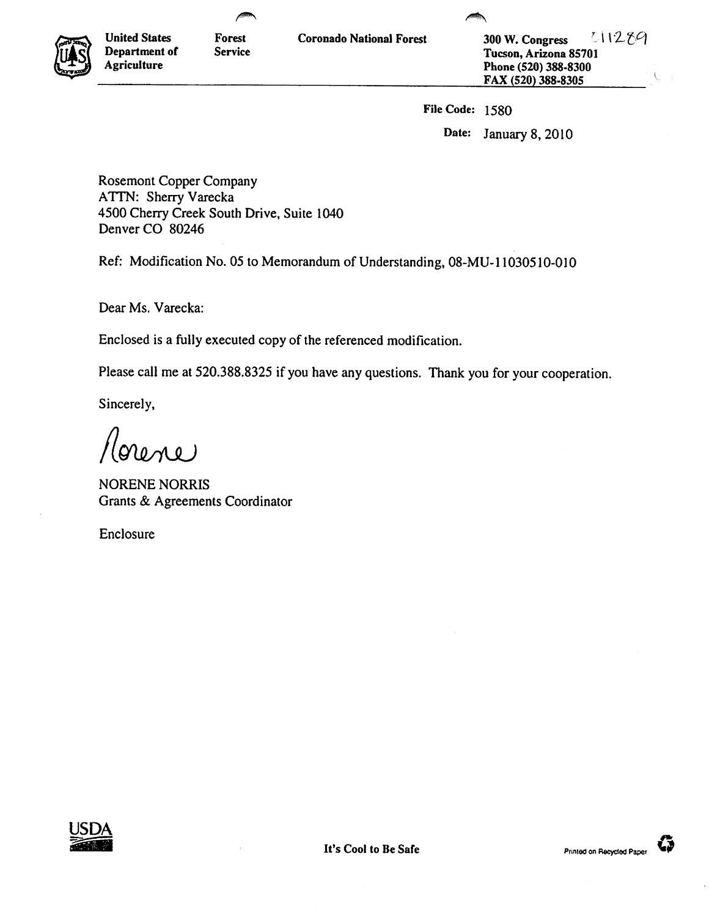

**Agriculture** 

**United States Forest Department of Service** 

**Coronado National Forest 300 W. Congress** <sup>7</sup> **Tucson, Arizona 85701 Phone (520) 388-8300 FAX (520) 388-8305** 

**File Code: 1580** 

**Date: January 8, 2010** 

**Rosemont Copper Company ATTN: Sherry Varecka 4500 Cherry Creek South Drive, Suite 1040 Denver CO 80246** 

**Ref: Modification No. 05 to Memorandum of Understanding, 08-MU-11030510-010** 

**Dear Ms. Varecka:** 

**Enclosed is a fully executed copy of the referenced modification.** 

**Please call me at 520.388.8325 if you have any questions. Thank you for your cooperation.** 

**Sincerely,** 

*figitioui.)* 

**NORENE NORRIS Grants & Agreements Coordinator** 

**Enclosure** 



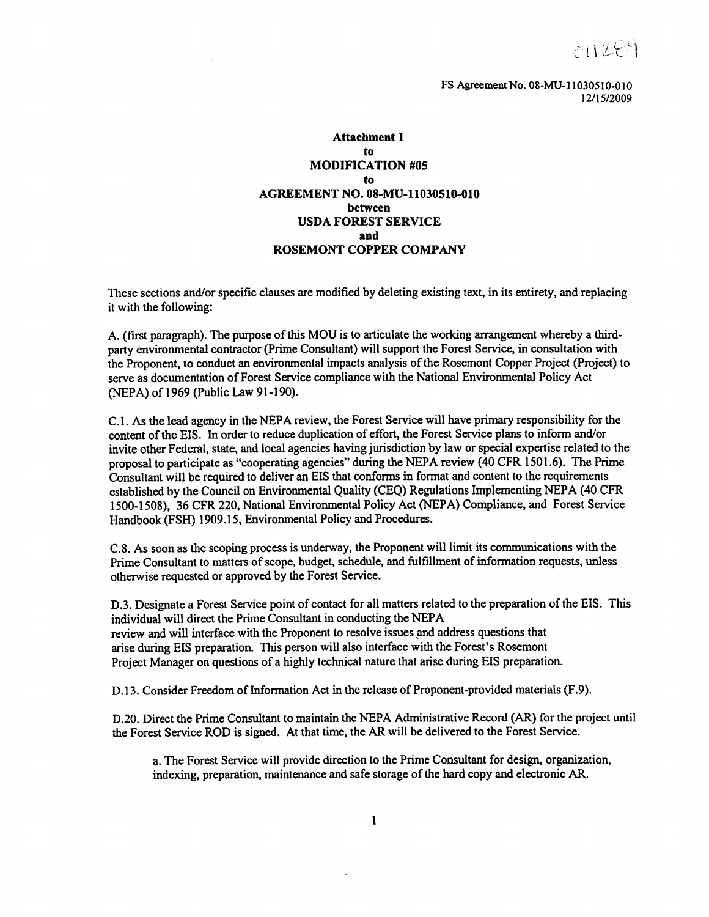$r + 259$ 

**FS Agreement No. 08-MU-11030510-010 12/15/2009** 

## **Attachment 1 to**

## **MODIFICATION #05 to AGREEMENT NO. 08-MU-11030510-010 between USDA FOREST SERVICE and ROSEMONT COPPER COMPANY**

**These sections and/or specific clauses are modified by deleting existing text, in its entirety, and replacing it with the following:** 

**A. (first paragraph). The purpose of this MOU is to articulate the working arrangement whereby a thirdparty environmental contractor (Prime Consultant) will support the Forest Service, in consultation with the Proponent, to conduct an environmental impacts analysis of the Rosemont Copper Project (Project) to serve as documentation of Forest Service compliance with the National Environmental Policy Act (NEPA) of 1969 (Public Law 91-190).** 

**C.1. As the lead agency in the NEPA review, the Forest Service will have primary responsibility for the content of the EIS. In order to reduce duplication of effort, the Forest Service plans to inform and/or invite other Federal, state, and local agencies having jurisdiction by law or special expertise related to the proposal to participate as "cooperating agencies" during the NEPA review (40 CFR 1501.6). The Prime Consultant will be required to deliver an EIS that conforms in format and content to the requirements established by the Council on Environmental Quality (CEQ) Regulations Implementing NEPA (40 CFR 1500-1508), 36 CFR 220, National Environmental Policy Act (NEPA) Compliance, and Forest Service Handbook (FSH) 1909.15, Environmental Policy and Procedures.** 

**C.8. As soon as the scoping process is underway, the Proponent will limit its communications with the Prime Consultant to matters of scope, budget, schedule, and fulfillment of information requests, unless otherwise requested or approved by the Forest Service.** 

**D3. Designate a Forest Service point of contact for all matters related to the preparation of the EIS. This individual will direct the Prime Consultant in conducting the NEPA review and will interface with the Proponent to resolve issues and address questions that arise during EIS preparation. This person will also interface with the Forest's Rosemont Project Manager on questions of a highly technical nature that arise during EIS preparation.** 

**D.13. Consider Freedom of Information Act in the release of Proponent-provided materials (F.9).** 

**D.20. Direct the Prime Consultant to maintain the NEPA Administrative Record (AR) for the project until the Forest Service ROD is signed. At that time, the AR will be delivered to the Forest Service.** 

**a. The Forest Service will provide direction to the Prime Consultant for design, organization, indexing, preparation, maintenance and safe storage of the hard copy and electronic AR.**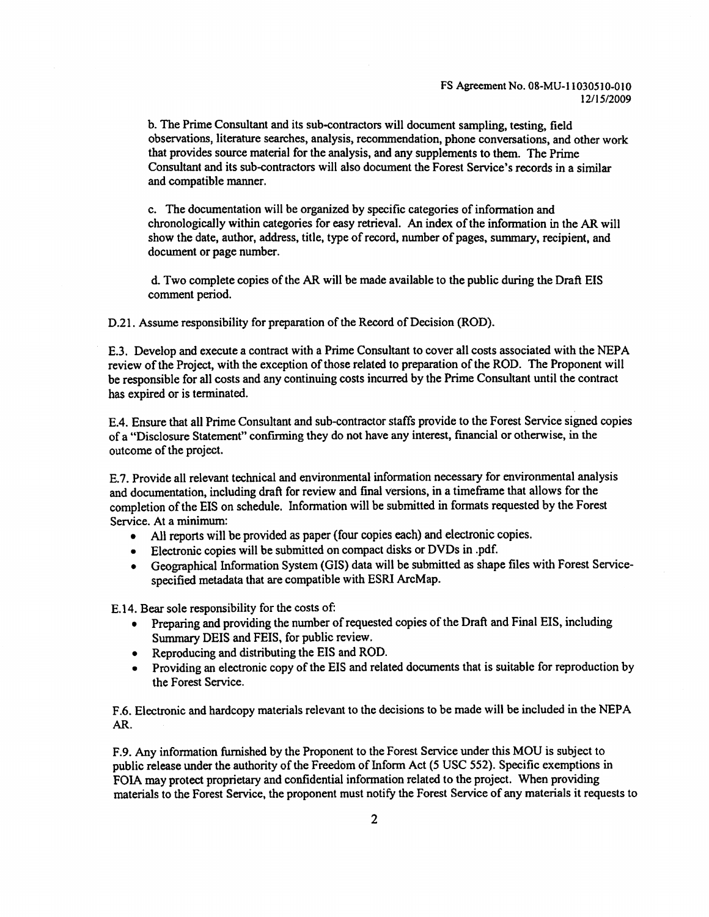## **FS Agreement No. 08-MU-11030510-010 12/15/2009**

**b. The Prime Consultant and its sub-contractors will document sampling, testing, field observations, literature searches, analysis, recommendation, phone conversations, and other work that provides source material for the analysis, and any supplements to them. The Prime Consultant and its sub-contractors will also document the Forest Service's records in a similar and compatible manner.** 

**c. The documentation will be organized by specific categories of information and chronologically within categories for easy retrieval. An index of the information in the AR will show the date, author, address, title, type of record, number of pages, summary, recipient, and document or page number.** 

**d.Two complete copies of the AR will be made available to the public during the Draft EIS comment period.** 

**D.21. Assume responsibility for preparation of the Record of Decision (ROD).** 

**E.3. Develop and execute a contract with a Prime Consultant to cover all costs associated with the NEPA review of the Project, with the exception of those related to preparation of the ROD. The Proponent will be responsible for all costs and any continuing costs incurred by the Prime Consultant until the contract has expired or is terminated.** 

**E.4. Ensure that all Prime Consultant and sub-contractor staffs provide to the Forest Service signed copies of a "Disclosure Statement" confirming they do not have any interest, financial or otherwise, in the outcome of the project.** 

**E.7. Provide all relevant technical and environmental information necessary for environmental analysis and documentation, including draft for review and final versions, in a timeframe that allows for the completion of the EIS on schedule. Information will be submitted in formats requested by the Forest Service. At a minimum:** 

- **• All reports will be provided as paper (four copies each) and electronic copies.**
- **• Electronic copies will be submitted on compact disks or DVDs in .pdf.**
- **• Geographical Information System (GIS) data will be submitted as shape files with Forest Servicespecified metadata that are compatible with ESRI ArcMap.**

**E.14. Bear sole responsibility for the costs of:** 

- **• Preparing and providing the number of requested copies of the Draft and Final EIS, including Summary DEIS and FEIS, for public review.**
- **• Reproducing and distributing the EIS and ROD.**
- **• Providing an electronic copy of the EIS and related documents that is suitable for reproduction by the Forest Service.**

**F.6. Electronic and hardcopy materials relevant to the decisions to be made will be included in the NEPA AR.** 

**F.9. Any information furnished by the Proponent to the Forest Service under this MOU is subject to public release under the authority of the Freedom of Inform Act (5 USC 552). Specific exemptions in FOIA may protect proprietary and confidential information related to the project. When providing materials to the Forest Service, the proponent must notify the Forest Service of any materials it requests to**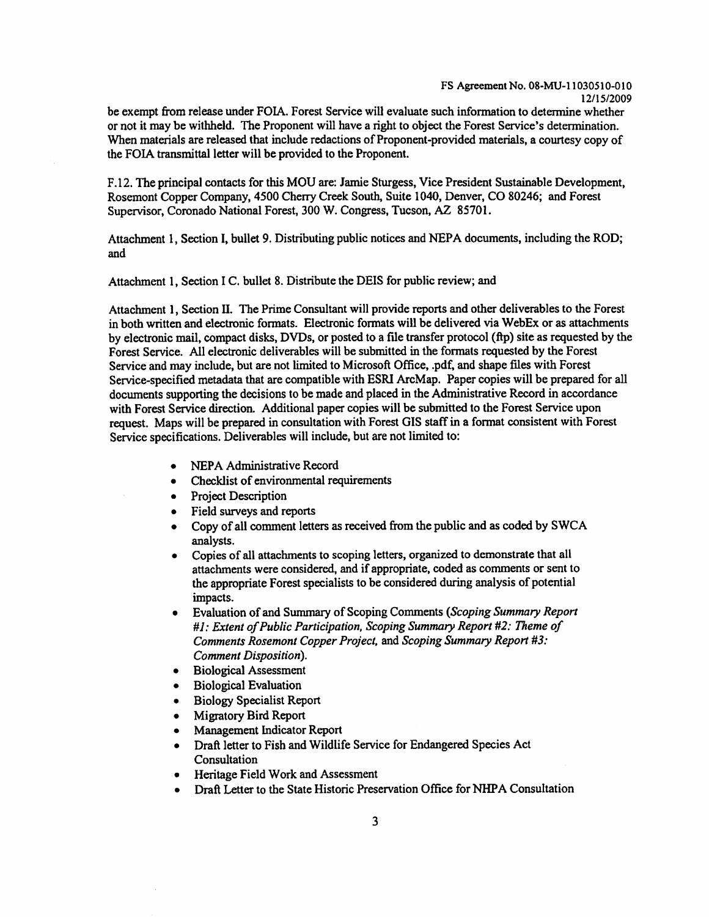**be exempt from release under FOIA. Forest Service will evaluate such information to determine whether or not it may be withheld. The Proponent will have a right to object the Forest Service's determination. When materials are released that include redactions of Proponent-provided materials, a courtesy copy of the FOIA transmittal letter will be provided to the Proponent.** 

**F.12. The principal contacts for this MOU are: Jamie Sturgess, Vice President Sustainable Development, Rosemont Copper Company, 4500 Cherry Creek South, Suite 1040, Denver, CO 80246; and Forest Supervisor, Coronado National Forest, 300 W. Congress, Tucson, AZ 85701.** 

**Attachment 1, Section I, bullet 9. Distributing public notices and NEPA documents, including the ROD; and** 

**Attachment 1, Section I C. bullet 8. Distribute the DEIS for public review; and** 

**Attachment 1, Section II. The Prime Consultant will provide reports and other deliverables to the Forest in both written and electronic formats. Electronic formats will be delivered via WebEx or as attachments by electronic mail, compact disks, DVDs, or posted to a file transfer protocol (ftp) site as requested by the Forest Service. All electronic deliverables will be submitted in the formats requested by the Forest Service and may include, but are not limited to Microsoft Office, .pdf, and shape files with Forest Service-specified metadata that are compatible with ESRI ArcMap. Paper copies will be prepared for all documents supporting the decisions to be made and placed in the Administrative Record in accordance with Forest Service direction. Additional paper copies will be submitted to the Forest Service upon request. Maps will be prepared in consultation with Forest GIS staff in a format consistent with Forest Service specifications. Deliverables will include, but are not limited to:** 

- **• NEPA Administrative Record**
- **• Checklist of environmental requirements**
- **• Project Description**
- **• Field surveys and reports**
- **• Copy of all comment letters as received from the public and as coded by SWCA analysts.**
- **• Copies of all attachments to scoping letters, organized to demonstrate that all attachments were considered, and if appropriate, coded as comments or sent to the appropriate Forest specialists to be considered during analysis of potential impacts.**
- **• Evaluation of and Summary of Scoping Comments** *(Scoping Summary Report #1: Extent of Public Participation, Scoping Summary Report #2: Theme of Comments Rosemont Copper Project,* **and** *Scoping Summary Report #3: Comment Disposition).*
- **• Biological Assessment**
- **• Biological Evaluation**
- **• Biology Specialist Report**
- **• Migratory Bird Report**
- **• Management Indicator Report**
- **• Draft letter to Fish and Wildlife Service for Endangered Species Act Consultation**
- **• Heritage Field Work and Assessment**
- **• Draft Letter to the State Historic Preservation Office for NHPA Consultation**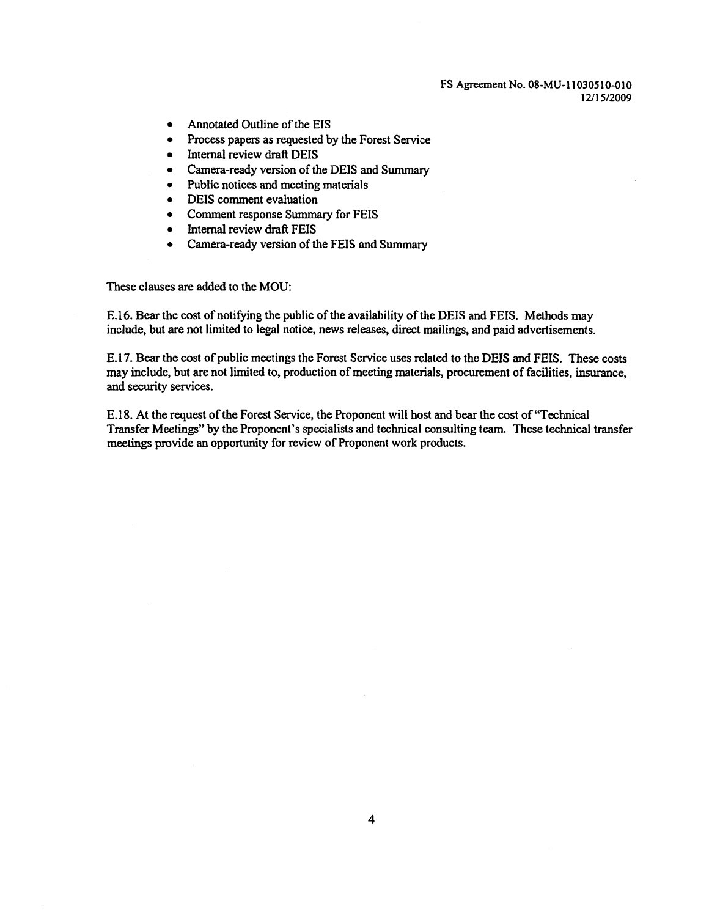## **FS Agreement No. 08-MU-11030510-010 12/15/2009**

- **• Annotated Outline of the EIS**
- **• Process papers as requested by the Forest Service**
- **• Internal review draft DEIS**
- **• Camera-ready version of the DEIS and Summary**
- **• Public notices and meeting materials**
- **• DEIS comment evaluation**
- **• Comment response Summary for FEIS**
- **• Internal review draft FEIS**
- **• Camera-ready version of the FEIS and Summary**

**These clauses are added to the MOU:** 

**E.16.Bear the cost of notifying the public of the availability of the DEIS and FEIS. Methods may include, but are not limited to legal notice, news releases, direct mailings, and paid advertisements.** 

**E.17.Bear the cost of public meetings the Forest Service uses related to the DEIS and FEIS. These costs may include, but are not limited to, production of meeting materials, procurement of facilities, insurance, and security services.** 

**E.18.At the request of the Forest Service, the Proponent will host and bear the cost of "Technical Transfer Meetings" by the Proponent's specialists and technical consulting team. These technical transfer meetings provide an opportunity for review of Proponent work products.**